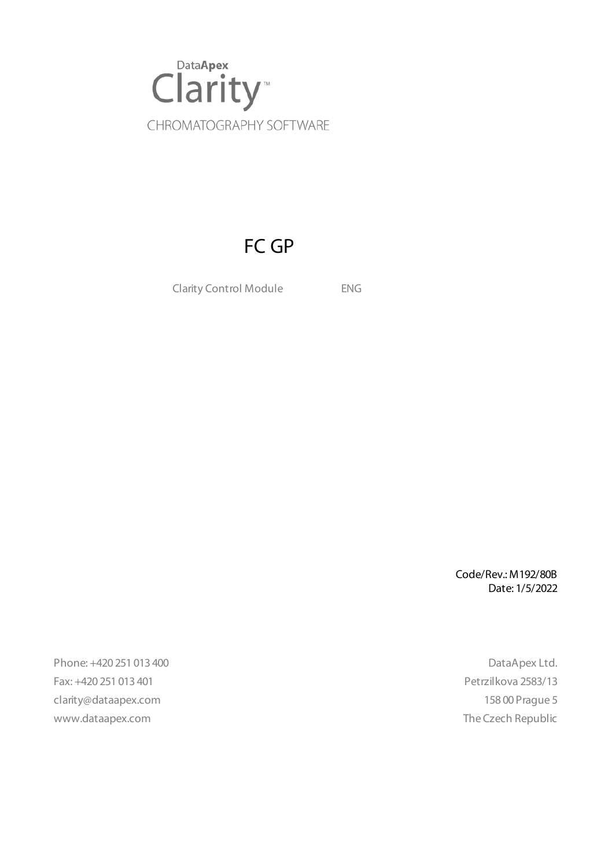

# FC GP

Clarity Control Module ENG

Code/Rev.: M192/80B Date: 1/5/2022

Phone: +420 251 013 400 DataApex Ltd. Fax: +420 251 013 401 Petrzilkova 2583/13 clarity@dataapex.com 158 00 Prague 5 www.dataapex.com **The Czech Republic**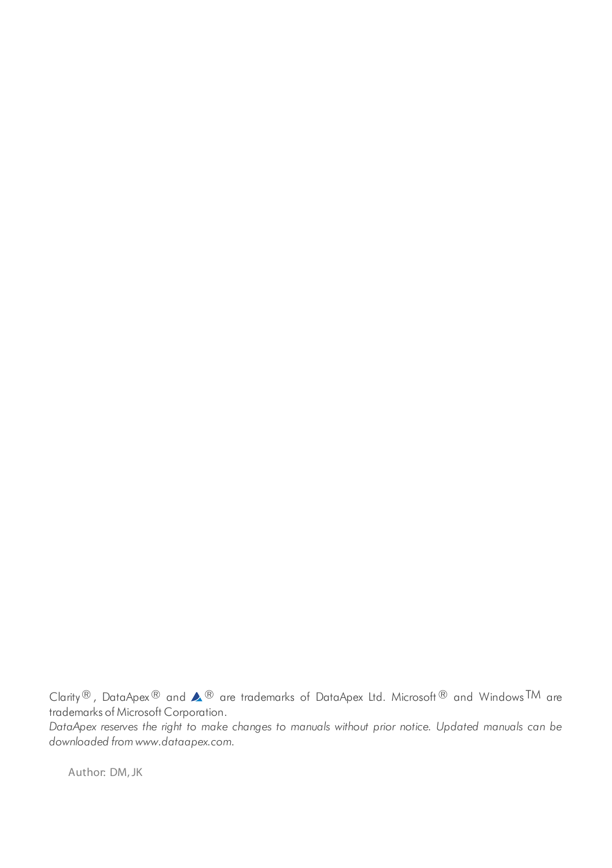Clarity®, DataApex® and  $\triangle$ <sup>®</sup> are trademarks of DataApex Ltd. Microsoft® and Windows TM are trademarks of Microsoft Corporation.

*DataApex reserves the right to make changes to manuals without prior notice. Updated manuals can be downloaded from www.dataapex.com.*

Author: DM,JK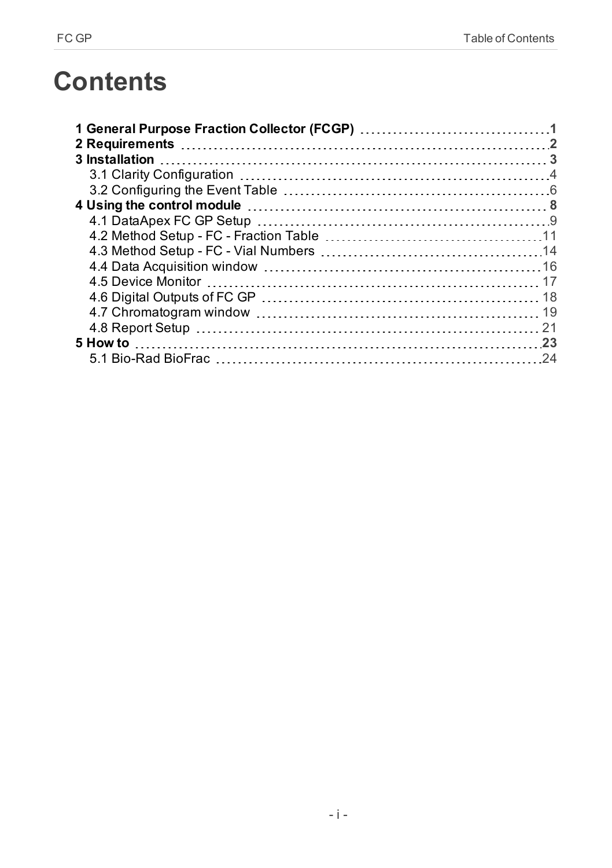# **Contents**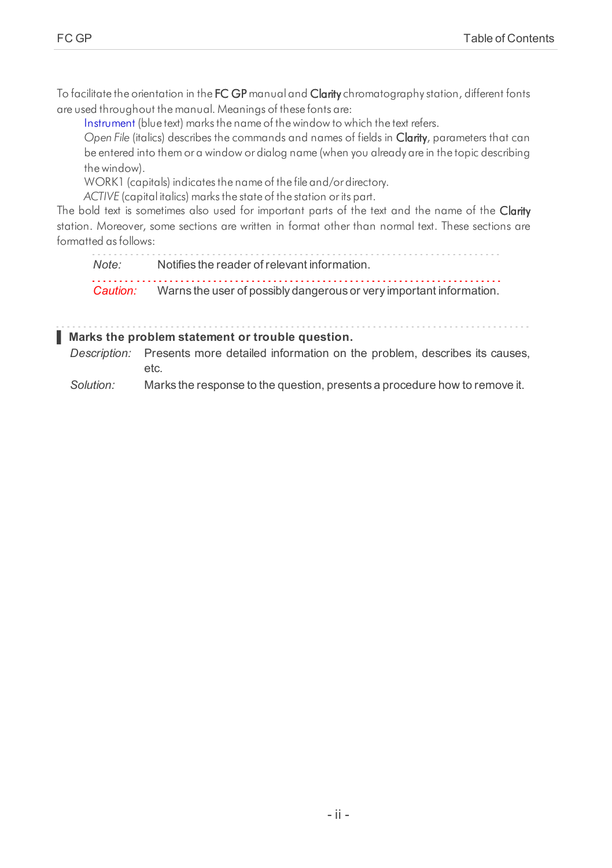To facilitate the orientation in the FC GP manual and Clarity chromatography station, different fonts are used throughout the manual. Meanings of these fonts are:

[Instrument](ms-its:Clarity.chm::/Help/020-instrument/020.000-instrument/020-instrument.htm) (blue text) marks the name of the window to which the text refers.

*Open File* (italics) describes the commands and names of fields in Clarity, parameters that can be entered into them or a window or dialog name (when you already are in the topic describing thewindow).

WORK1 (capitals) indicates the name of the file and/or directory.

*ACTIVE* (capital italics) marks the state of the station or its part.

The bold text is sometimes also used for important parts of the text and the name of the Clarity station. Moreover, some sections are written in format other than normal text. These sections are formatted asfollows:

*Note:* Notifies the reader of relevant information. *Caution:* Warns the user of possibly dangerous or very important information.

#### **▌ Marks the problem statement or trouble question.**

*Description:* Presents more detailed information on the problem, describes its causes, etc.

*Solution:* Marks the response to the question, presents a procedure how to remove it.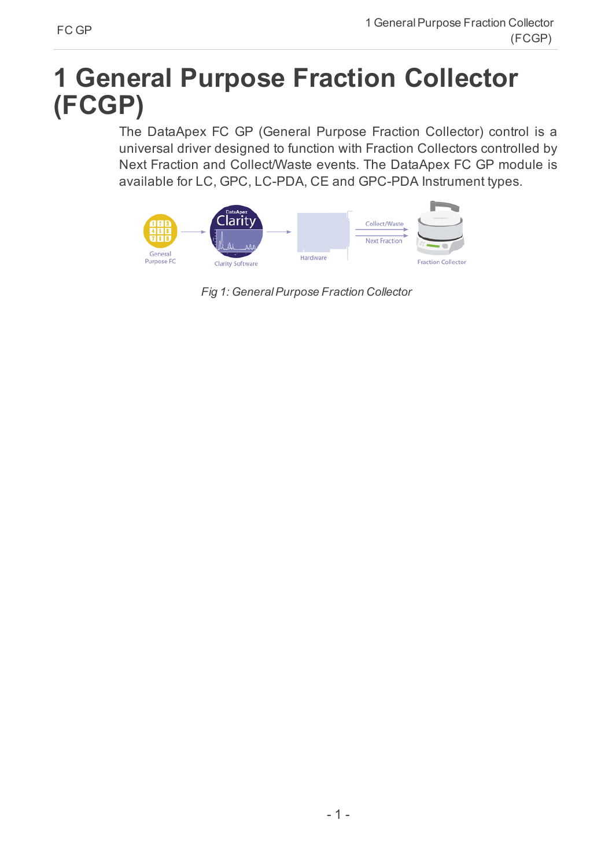# <span id="page-4-0"></span>**1 General Purpose Fraction Collector (FCGP)**

The DataApex FC GP (General Purpose Fraction Collector) control is a universal driver designed to function with Fraction Collectors controlled by Next Fraction and Collect/Waste events. The DataApex FC GP module is available for LC, GPC, LC-PDA, CE and GPC-PDA Instrument types.



*Fig 1: GeneralPurpose Fraction Collector*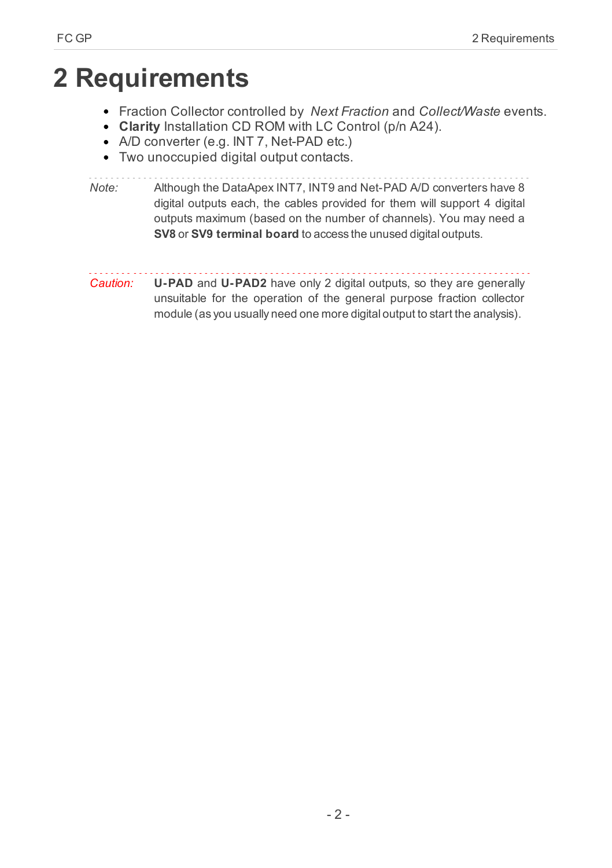# <span id="page-5-0"></span>**2 Requirements**

- Fraction Collector controlled by *Next Fraction* and *Collect/Waste* events.
- **Clarity** Installation CD ROM with LC Control (p/n A24).
- A/D converter (e.g. INT 7, Net-PAD etc.)
- Two unoccupied digital output contacts.

*Note:* Although the DataApex INT7, INT9 and Net-PAD A/D converters have 8 digital outputs each, the cables provided for them will support 4 digital outputs maximum (based on the number of channels). You may need a **SV8** or **SV9 terminal board** to access the unused digital outputs.

*Caution:* **U-PAD** and **U-PAD2** have only 2 digital outputs, so they are generally unsuitable for the operation of the general purpose fraction collector module (as you usually need one more digital output to start the analysis).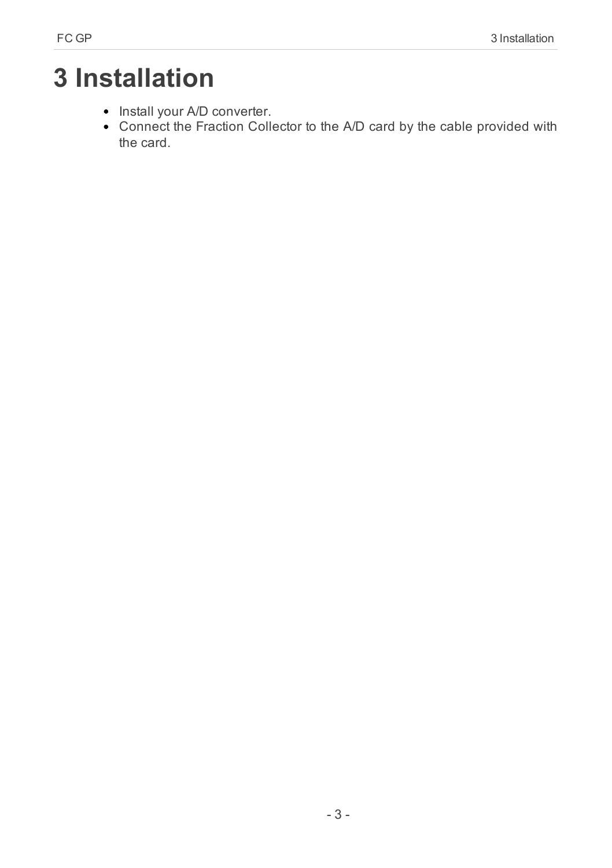# <span id="page-6-0"></span>**3 Installation**

- Install your A/D converter.
- Connect the Fraction Collector to the A/D card by the cable provided with the card.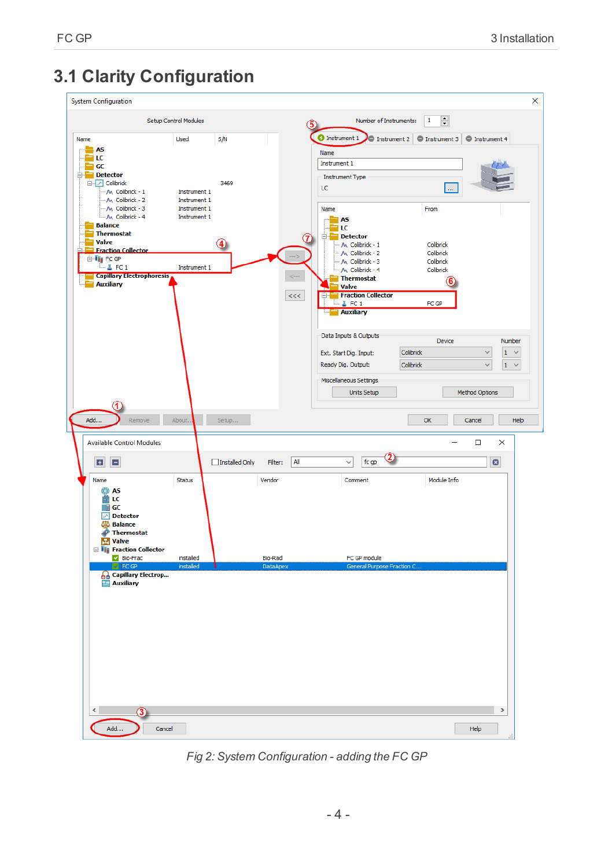# <span id="page-7-0"></span>**3.1 Clarity Configuration**



<span id="page-7-1"></span>*Fig 2: System Configuration - adding the FC GP*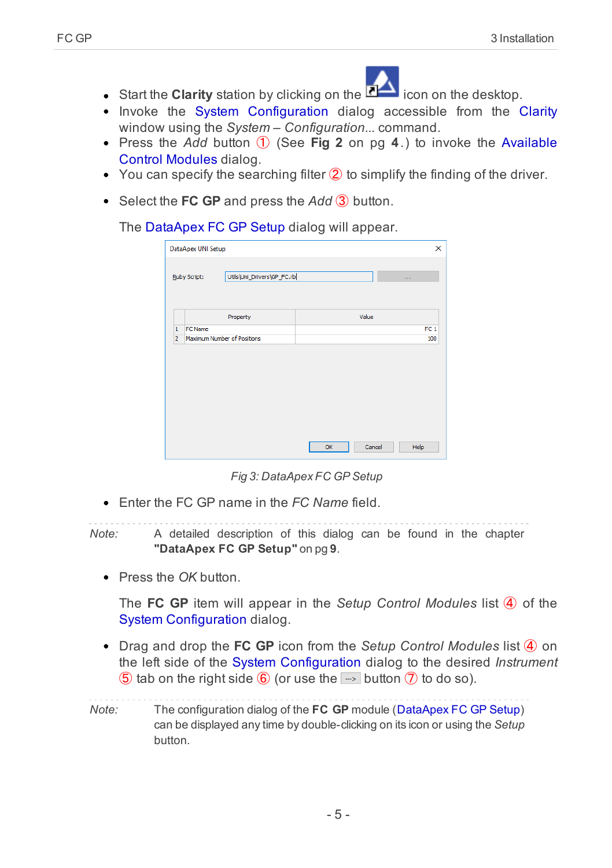

- **Start the Clarity** station by clicking on the **come on the desktop**.
- Invoke the System [Configuration](ms-its:Clarity.chm::/Help/010-clarity/010.010-system/010.010-configuration.htm) dialog accessible from the [Clarity](ms-its:Clarity.chm::/Help/010-clarity/010.000-clarity/010-clarity.htm) window using the *System – Configuration...* command.
- Press the *Add* button ① (See **[Fig](#page-7-1) 2** on pg **4**.) to invoke the [Available](ms-its:Clarity.chm::/Help/010-clarity/010.010-system/010.010-system-configuration-left.htm) Control [Modules](ms-its:Clarity.chm::/Help/010-clarity/010.010-system/010.010-system-configuration-left.htm) dialog.
- $\bullet$  You can specify the searching filter  $\hat{Q}$  to simplify the finding of the driver.
- Select the **FC GP** and press the *Add* ③ button.

The [DataApex](#page-12-0) FC GP Setup dialog will appear.

|                | DataApex UNI Setup<br>Utils\Uni_Drivers\GP_FC.rb<br>Ruby Script: | ×<br><b>COL</b> |
|----------------|------------------------------------------------------------------|-----------------|
|                |                                                                  |                 |
|                | Property                                                         | Value           |
| $\mathbf{1}$   | FC Name                                                          | FC <sub>1</sub> |
| $\overline{2}$ | Maximum Number of Positions                                      | 100             |
|                |                                                                  |                 |
|                |                                                                  |                 |
|                |                                                                  |                 |

*Fig 3: DataApex FC GP Setup*

Enter the FC GP name in the *FC Name* field.

*Note:* A detailed description of this dialog can be found in the [chapter](#page-12-0) **["DataApex](#page-12-0) FC GP Setup"** on pg **9**.

Press the *OK* button.

The **FC GP** item will appear in the *Setup Control Modules* list ④ of the System [Configuration](ms-its:Clarity.chm::/Help/010-clarity/010.010-system/010.010-configuration.htm) dialog.

Drag and drop the **FC GP** icon from the *Setup Control Modules* list ④ on the left side of the System [Configuration](ms-its:Clarity.chm::/Help/010-clarity/010.010-system/010.010-configuration.htm) dialog to the desired *Instrument* **(5)** tab on the right side  $\overline{6}$  (or use the  $\rightarrow$  button  $\overline{7}$  to do so).

*Note:* The configuration dialog of the **FC GP** module ([DataApex](#page-12-0) FC GP Setup) can be displayed any time by double-clicking on its icon or using the *Setup* button.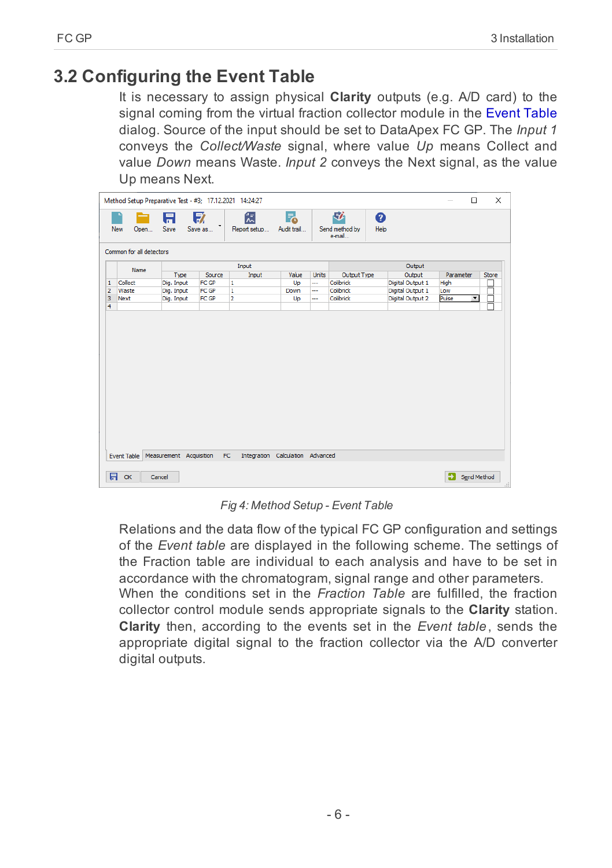# <span id="page-9-0"></span>**3.2 Configuring the Event Table**

It is necessary to assign physical **Clarity** outputs (e.g. A/D card) to the signal coming from the virtual fraction collector module in the [Event](ms-its: clarity.chm::/Help/020-instrument/020.040-method/020.040-event-table.htm) Table dialog. Source of the input should be set to DataApex FC GP. The *Input 1* conveys the *Collect/Waste* signal, where value *Up* means Collect and value *Down* means Waste. *Input 2* conveys the Next signal, as the value Up means Next.

|                         | Method Setup Preparative Test - #3; 17.12.2021 14:24:27 |            |              |                   |                   |              |                               |                  |           | $\Box$               | $\times$     |
|-------------------------|---------------------------------------------------------|------------|--------------|-------------------|-------------------|--------------|-------------------------------|------------------|-----------|----------------------|--------------|
|                         | New<br>Open                                             | 日<br>Save  | 序<br>Save as | 忥<br>Report setup | Г.<br>Audit trail |              | 矽<br>Send method by<br>e-mail | ❷<br>Help        |           |                      |              |
|                         | Common for all detectors                                |            |              |                   |                   |              |                               |                  |           |                      |              |
| Input<br>Output<br>Name |                                                         |            |              |                   |                   |              |                               |                  |           |                      |              |
|                         |                                                         | Type       | Source       | Input             | Value             | <b>Units</b> | Output Type                   | Output           | Parameter |                      | <b>Store</b> |
| 1                       | Collect                                                 | Dig. Input | FC GP        | 1                 | Up                |              | Colibrick                     | Digital Output 1 | High      |                      |              |
| $\overline{2}$          | Waste                                                   | Dig. Input | FC GP        | 1                 | Down              |              | Colibrick                     | Digital Output 1 | Low       |                      |              |
| 3                       | <b>Next</b>                                             | Dig. Input | FC GP        | $\overline{2}$    | Up                |              | Colibrick                     | Digital Output 2 | Pulse     | $\blacktriangledown$ |              |
| 4                       |                                                         |            |              |                   |                   |              |                               |                  |           |                      |              |
|                         |                                                         |            |              |                   |                   |              |                               |                  |           |                      |              |
|                         |                                                         |            |              |                   |                   |              |                               |                  |           |                      |              |

*Fig 4: Method Setup - Event Table*

Relations and the data flow of the typical FC GP configuration and settings of the *Event table* are displayed in the following scheme. The settings of the Fraction table are individual to each analysis and have to be set in accordance with the chromatogram, signal range and other parameters. When the conditions set in the *Fraction Table* are fulfilled, the fraction collector control module sends appropriate signals to the **Clarity** station. **Clarity** then, according to the events set in the *Event table*, sends the appropriate digital signal to the fraction collector via the A/D converter digital outputs.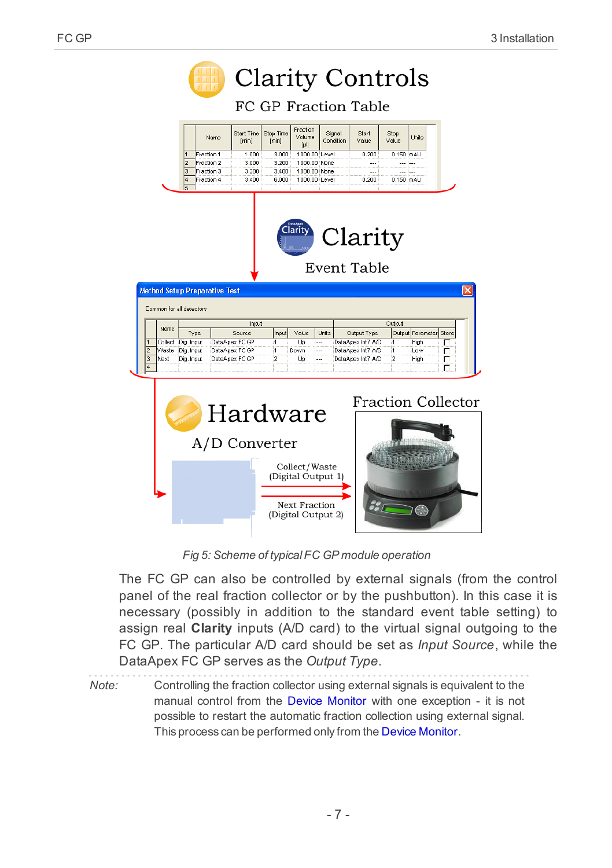|                |                          |                |                                      | <b>Clarity Controls</b>   |                    |                              |                     |                           |                |                  |       |  |
|----------------|--------------------------|----------------|--------------------------------------|---------------------------|--------------------|------------------------------|---------------------|---------------------------|----------------|------------------|-------|--|
|                |                          |                |                                      | FC GP Fraction Table      |                    |                              |                     |                           |                |                  |       |  |
|                |                          |                | Name                                 | Start Time<br>[min]       | Stop Time<br>[min] | Fraction<br>Volume<br>$[\mu$ | Signal<br>Condition | Start<br>Value            | Stop<br>Value  | Units            |       |  |
|                |                          | $\overline{1}$ | Fraction 1                           | 1.000                     | 3.000              | 1000.00 Level                |                     | 0.200                     |                | 0.150 mAU        |       |  |
|                |                          | $\overline{2}$ | Fraction 2                           | 3.000                     | 3.200              | 1000.00 None                 |                     |                           |                |                  |       |  |
|                |                          | 3              | Fraction 3                           | 3.200                     | 3.400              | 1000.00 None                 |                     | $\ddotsc$                 | $\overline{a}$ | $\ddotsc$        |       |  |
|                |                          | 4<br>١c        | Fraction 4                           | 3.400                     | 6.000              | 1000.00 Level                |                     | 0.200                     |                | 0.150 mAU        |       |  |
|                |                          |                | <b>Method Setup Preparative Test</b> |                           |                    | :laritv                      |                     | Clarity<br>Event Table    |                |                  |       |  |
|                | Common for all detectors |                |                                      | Input                     |                    |                              |                     |                           | Output         |                  |       |  |
|                | Name                     | Type           |                                      | Source                    | Input              | Value                        | Units               | Output Type               |                | Output Parameter | Store |  |
| $\overline{1}$ | Collect                  | Dig. Input     |                                      | DataApex FC GP            | 1                  | Up                           |                     | DataApex Int7 A/D         | 1              | High             |       |  |
| $\overline{a}$ | Waste                    | Dig. Input     |                                      | DataApex FC GP            | 1                  | Down                         |                     | DataApex Int7 A/D         | 1              | Low              | г     |  |
| 3<br>4         | Next                     | Dig. Input     |                                      | DataApex FC GP            | $\overline{2}$     | Up                           | $\sim$              | DataApex Int7 A/D         | $\overline{a}$ | High             | г     |  |
|                |                          |                |                                      | Hardware<br>A/D Converter |                    |                              |                     | <b>Fraction Collector</b> |                |                  |       |  |

*Fig 5: Scheme of typicalFC GP module operation*

The FC GP can also be controlled by external signals (from the control panel of the real fraction collector or by the pushbutton). In this case it is necessary (possibly in addition to the standard event table setting) to assign real **Clarity** inputs (A/D card) to the virtual signal outgoing to the FC GP. The particular A/D card should be set as *Input Source*, while the DataApex FC GP serves as the *Output Type*.

*Note:* Controlling the fraction collector using external signals is equivalent to the manual control from the Device Monitor with one exception - it is not possible to restart the automatic fraction collection using external signal. This process can be performed only from the Device Monitor.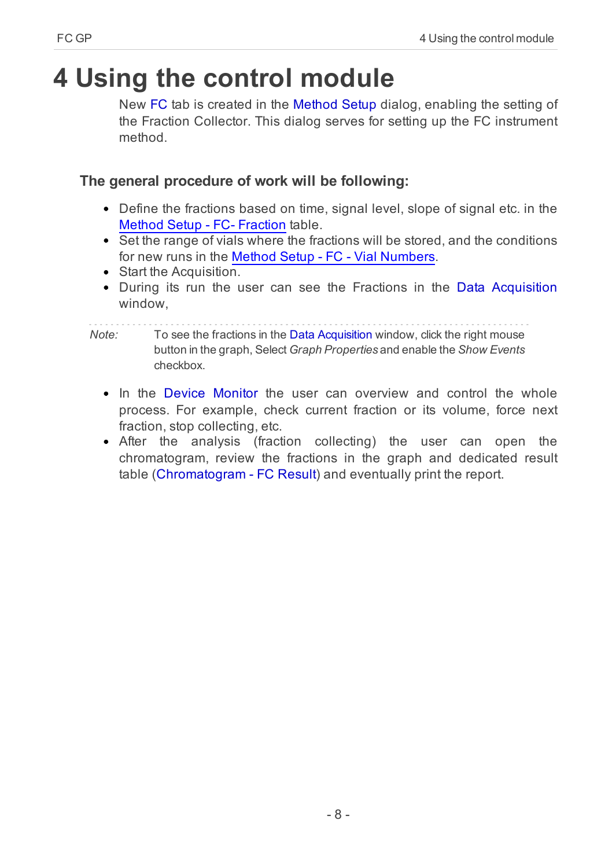# <span id="page-11-0"></span>**4 Using the control module**

New FC tab is created in the [Method](ms-its:Clarity.chm::/Help/020-instrument/020.040-method/020.040-method.htm) Setup dialog, enabling the setting of the Fraction Collector. This dialog serves for setting up the FC instrument method.

# **The general procedure of work will be following:**

- Define the fractions based on time, signal level, slope of signal etc. in the Method Setup - FC- [Fraction](#page-14-0) table.
- Set the range of vials where the fractions will be stored, and the conditions for new runs in the Method Setup - FC - Vial [Numbers](#page-17-0).
- Start the Acquisition.
- During its run the user can see the Fractions in the Data [Acquisition](ms-its:Clarity.chm::/Help/050-data-acquisition/050.000-data-acquisition/050-data-acquisition.htm) window,

#### *Note:* To see the fractions in the Data Acquisition window, click the right mouse button in the graph, Select *Graph Properties* and enable the *Show Events* checkbox.

- In the Device [Monitor](#page-20-0) the user can overview and control the whole process. For example, check current fraction or its volume, force next fraction, stop collecting, etc.
- After the analysis (fraction collecting) the user can open the chromatogram, review the fractions in the graph and dedicated result table [\(Chromatogram](#page-22-0) - FC Result) and eventually print the report.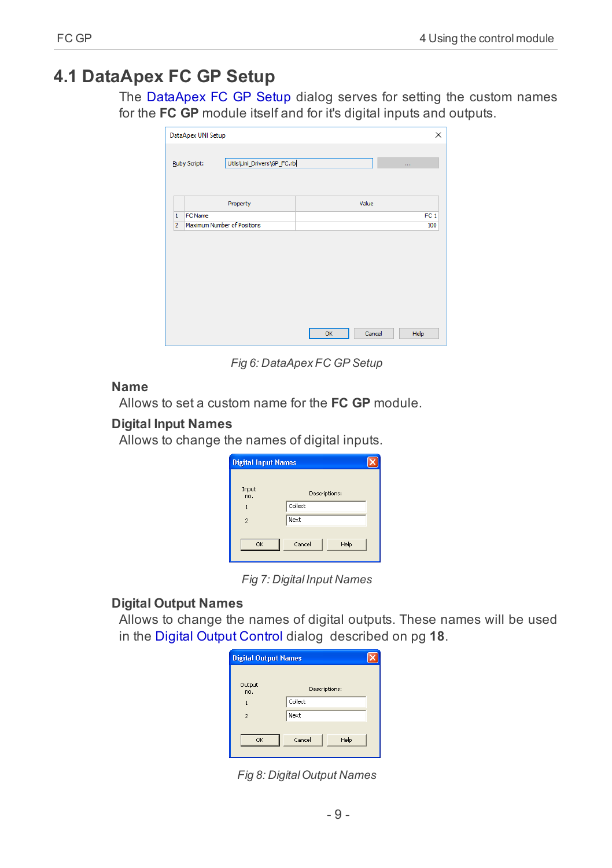# <span id="page-12-0"></span>**4.1 DataApex FC GP Setup**

The DataApex FC GP Setup dialog serves for setting the custom names for the **FC GP** module itself and for it's digital inputs and outputs.

|                | DataApex UNI Setup<br>Utils\Uni_Drivers\GP_FC.rb<br><b>Ruby Script:</b> | $\sim 100$      |
|----------------|-------------------------------------------------------------------------|-----------------|
|                | Property                                                                | Value           |
| $\mathbf{1}$   | <b>FC Name</b>                                                          | FC <sub>1</sub> |
| $\overline{2}$ | Maximum Number of Positions                                             | 100             |
|                |                                                                         |                 |
|                |                                                                         |                 |

*Fig 6: DataApex FC GP Setup*

#### **Name**

Allows to set a custom name for the **FC GP** module.

#### **Digital Input Names**

Allows to change the names of digital inputs.

| <b>Digital Input Names</b> |                |  |
|----------------------------|----------------|--|
| Input<br>no.               | Descriptions:  |  |
| $\mathbf{1}$               | Collect        |  |
| $\mathcal{P}$              | Next           |  |
| OK                         | Cancel<br>Help |  |

*Fig 7: Digital Input Names*

## **Digital Output Names**

Allows to change the names of digital outputs. These names will be used in the Digital Output [Control](#page-21-0) dialog [described](#page-21-0) on pg **18**.

| <b>Digital Output Names</b> |                |  |
|-----------------------------|----------------|--|
| Output<br>no.               | Descriptions:  |  |
| 1                           | Collect        |  |
| $\overline{\phantom{a}}$    | Next           |  |
| OK                          | Cancel<br>Help |  |

*Fig 8: DigitalOutput Names*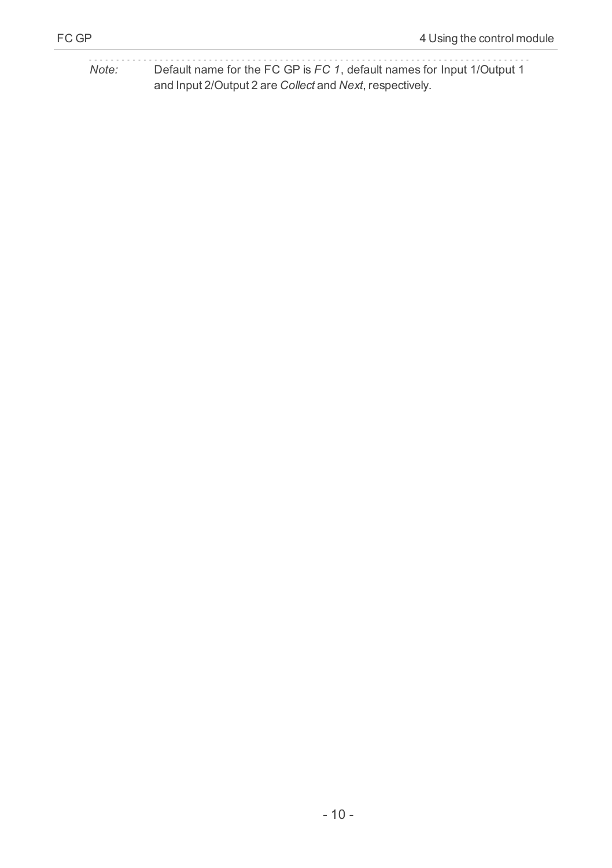*Note:* Default name for the FC GP is *FC 1*, default names for Input 1/Output 1 and Input 2/Output 2 are *Collect* and *Next*, respectively.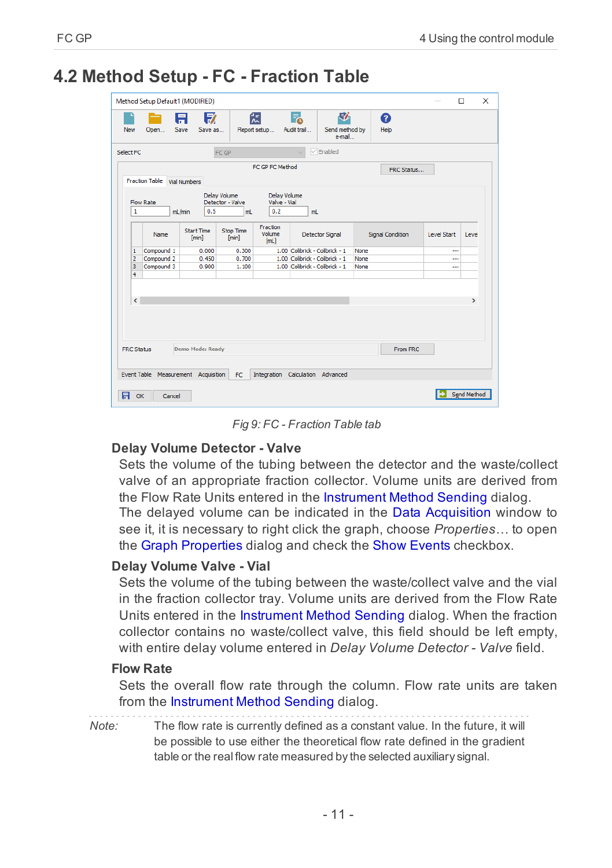$\times$ 

 $\overline{ }$ 

Send Method

From FRC

| <b>New</b>     | Open                     | A<br>Save           | 57<br>Save as              |                                               | 微<br>Report setup                          | Г.<br>Audit trail              | 尉<br>Send method by<br>e-mail |      | 0<br><b>Help</b>        |             |
|----------------|--------------------------|---------------------|----------------------------|-----------------------------------------------|--------------------------------------------|--------------------------------|-------------------------------|------|-------------------------|-------------|
| Select FC      |                          |                     |                            | FC GP                                         |                                            | $\overline{\phantom{a}}$       | $\triangledown$ Enabled       |      |                         |             |
|                |                          |                     |                            |                                               | FC GP FC Method                            |                                |                               |      | FRC Status              |             |
|                | <b>Fraction Table</b>    | <b>Vial Numbers</b> |                            |                                               |                                            |                                |                               |      |                         |             |
| 1              | Flow Rate                | mL/min              | 0.5                        | <b>Delay Volume</b><br>Detector - Valve<br>mL | <b>Delay Volume</b><br>Valve - Vial<br>0.2 | mL                             |                               |      |                         |             |
|                | Name                     |                     | <b>Start Time</b><br>[min] | Stop Time<br>[min]                            | Fraction<br>Volume<br>[mL]                 | <b>Detector Signal</b>         |                               |      | <b>Signal Condition</b> | Level Start |
| $\mathbf{1}$   |                          |                     | 0.000                      | 0.300                                         |                                            | 1.00 Colibrick - Colibrick - 1 |                               | None |                         |             |
| $\overline{2}$ | Compound 1<br>Compound 2 |                     | 0.450                      | 0.700                                         |                                            | 1.00 Colibrick - Colibrick - 1 |                               | None |                         |             |
| 3              | Compound 3               |                     | 0.900                      | 1,100                                         |                                            | 1.00 Colibrick - Colibrick - 1 |                               | None |                         |             |

# <span id="page-14-0"></span>**4.2 Method Setup - FC - Fraction Table**

*Fig 9: FC - Fraction Table tab*

#### **Delay Volume Detector - Valve**

Damo Mode: Ready

Event Table Measurement Acquisition FC Integration Calculation Advanced

Sets the volume of the tubing between the detector and the waste/collect valve of an appropriate fraction collector. Volume units are derived from the Flow Rate Units entered in the Instrument Method Sending dialog. The delayed volume can be indicated in the Data [Acquisition](#page-19-0) window to see it, it is necessary to right click the graph, choose *Properties…* to open

the Graph Properties dialog and check the Show Events checkbox.

#### **Delay Volume Valve - Vial**

Sets the volume of the tubing between the waste/collect valve and the vial in the fraction collector tray. Volume units are derived from the Flow Rate Units entered in the Instrument Method Sending dialog. When the fraction collector contains no waste/collect valve, this field should be left empty, with entire delay volume entered in *Delay Volume Detector - Valve* field.

#### **Flow Rate**

**EDC Statue** 

**R** OK Cancel

Sets the overall flow rate through the column. Flow rate units are taken from the Instrument Method Sending dialog.

*Note:* The flow rate is currently defined as a constant value. In the future, it will be possible to use either the theoretical flow rate defined in the gradient table or the real flow rate measured by the selected auxiliary signal.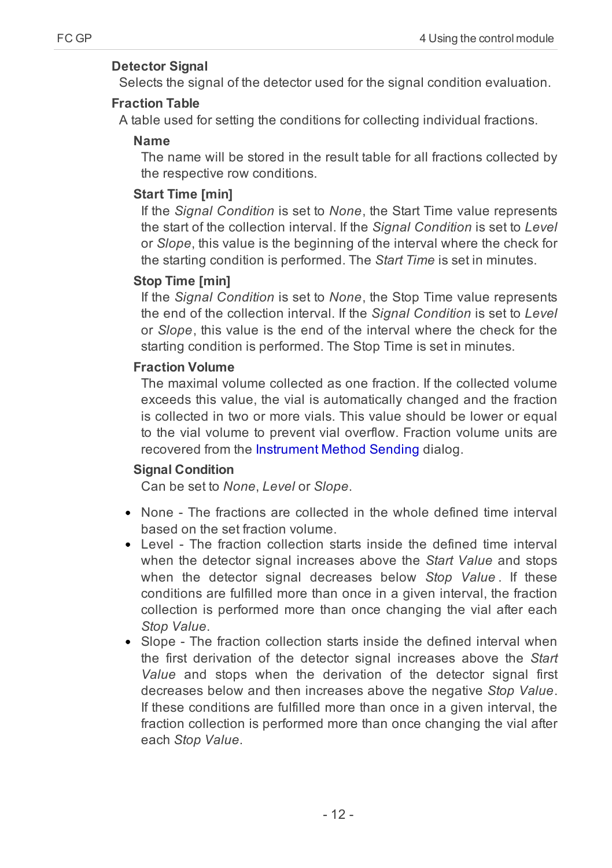## **Detector Signal**

Selects the signal of the detector used for the signal condition evaluation.

### **Fraction Table**

A table used for setting the conditions for collecting individual fractions.

## **Name**

The name will be stored in the result table for all fractions collected by the respective row conditions.

## **Start Time [min]**

If the *Signal Condition* is set to *None*, the Start Time value represents the start of the collection interval. If the *Signal Condition* is set to *Level* or *Slope*, this value is the beginning of the interval where the check for the starting condition is performed. The *Start Time* is set in minutes.

## **Stop Time [min]**

If the *Signal Condition* is set to *None*, the Stop Time value represents the end of the collection interval. If the *Signal Condition* is set to *Level* or *Slope*, this value is the end of the interval where the check for the starting condition is performed. The Stop Time is set in minutes.

## **Fraction Volume**

The maximal volume collected as one fraction. If the collected volume exceeds this value, the vial is automatically changed and the fraction is collected in two or more vials. This value should be lower or equal to the vial volume to prevent vial overflow. Fraction volume units are recovered from the Instrument Method Sending dialog.

## **Signal Condition**

Can be set to *None*, *Level* or *Slope*.

- None The fractions are collected in the whole defined time interval based on the set fraction volume.
- Level The fraction collection starts inside the defined time interval when the detector signal increases above the *Start Value* and stops when the detector signal decreases below *Stop Value* . If these conditions are fulfilled more than once in a given interval, the fraction collection is performed more than once changing the vial after each *Stop Value*.
- Slope The fraction collection starts inside the defined interval when the first derivation of the detector signal increases above the *Start Value* and stops when the derivation of the detector signal first decreases below and then increases above the negative *Stop Value*. If these conditions are fulfilled more than once in a given interval, the fraction collection is performed more than once changing the vial after each *Stop Value*.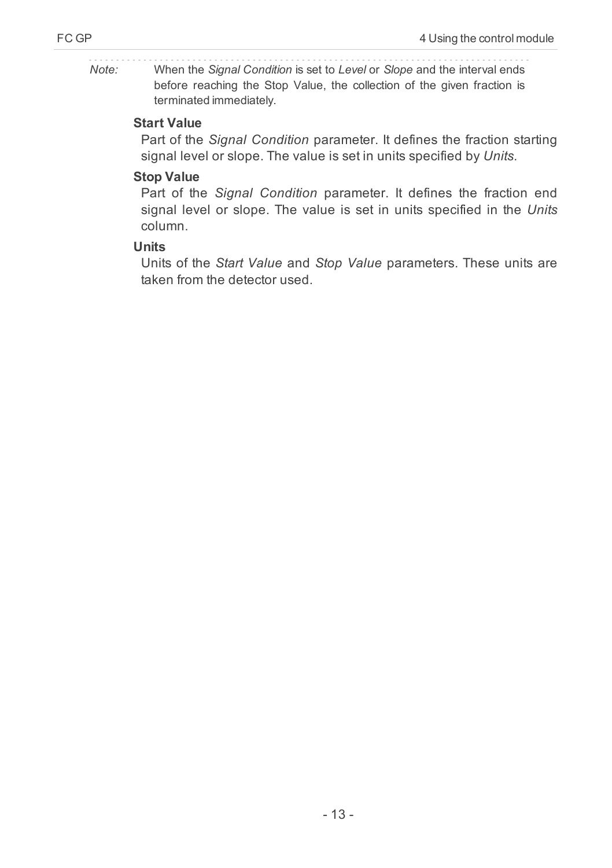*Note:* When the *Signal Condition* is set to *Level* or *Slope* and the interval ends before reaching the Stop Value, the collection of the given fraction is terminated immediately.

#### **Start Value**

Part of the *Signal Condition* parameter. It defines the fraction starting signal level or slope. The value is set in units specified by *Units*.

#### **Stop Value**

Part of the *Signal Condition* parameter. It defines the fraction end signal level or slope. The value is set in units specified in the *Units* column.

#### **Units**

Units of the *Start Value* and *Stop Value* parameters. These units are taken from the detector used.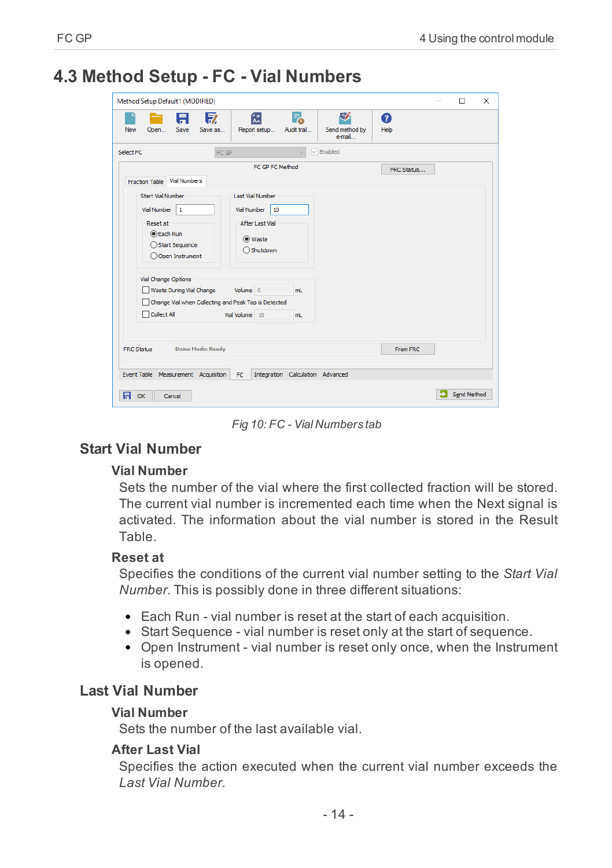# <span id="page-17-0"></span>**4.3 Method Setup - FC - Vial Numbers**

| Method Setup Default1 (MODIFIED)                                                                                                                                                                                                                                                                                                                                                                       | п           | $\times$ |
|--------------------------------------------------------------------------------------------------------------------------------------------------------------------------------------------------------------------------------------------------------------------------------------------------------------------------------------------------------------------------------------------------------|-------------|----------|
| 尉<br>忥<br>57<br>F.<br>Ħ<br>Q<br>Save<br>New<br>Report setup<br>Audit trail<br>Send method by<br>Help<br>Open<br>Save as<br>e-mail                                                                                                                                                                                                                                                                      |             |          |
| $\sqrt{\frac{1}{2}}$ Enabled<br>Select FC<br>FC GP<br>U                                                                                                                                                                                                                                                                                                                                                |             |          |
| FC GP FC Method<br>FRC Status<br><b>Vial Numbers</b><br><b>Fraction Table</b>                                                                                                                                                                                                                                                                                                                          |             |          |
| <b>Start Vial Number</b><br><b>Last Vial Number</b><br>Vial Number<br>Vial Number<br>10<br>1<br><b>Reset at</b><br><b>After Last Vial</b><br><b>C</b> Each Run<br>(O) Waste<br>◯ Start Sequence<br>○ Shutdown<br>O Open Instrument<br>Vial Change Options<br>Waste During Vial Change<br>Volume 0<br>mL<br>Change Vial when Collecting and Peak Top is Detected<br>Collect All<br>Vial Volume 10<br>mL |             |          |
| <b>Demo Mode: Ready</b><br>From FRC.<br><b>FRC Status</b>                                                                                                                                                                                                                                                                                                                                              |             |          |
| Event Table Measurement Acquisition<br>Integration Calculation Advanced<br><b>FC</b><br>日<br>OK<br>Cancel                                                                                                                                                                                                                                                                                              | Send Method |          |

*Fig 10: FC - Vial Numbers tab*

## **Start Vial Number**

#### **Vial Number**

Sets the number of the vial where the first collected fraction will be stored. The current vial number is incremented each time when the Next signal is activated. The information about the vial number is stored in the Result Table.

#### **Reset at**

Specifies the conditions of the current vial number setting to the *Start Vial Number*. This is possibly done in three different situations:

- Each Run vial number is reset at the start of each acquisition.
- Start Sequence vial number is reset only at the start of sequence.
- Open Instrument vial number is reset only once, when the Instrument is opened.

## **Last Vial Number**

#### **Vial Number**

Sets the number of the last available vial.

#### **After Last Vial**

Specifies the action executed when the current vial number exceeds the *Last Vial Number*.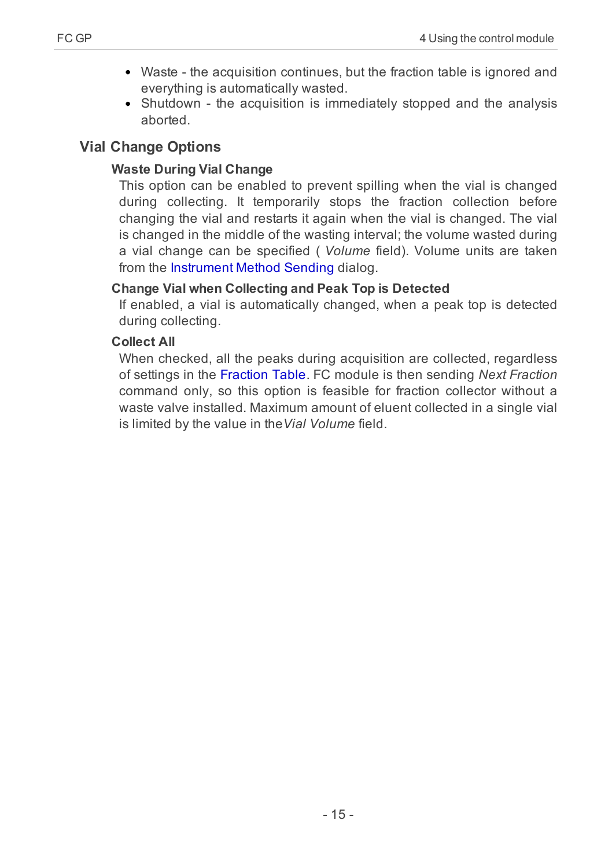- Waste the acquisition continues, but the fraction table is ignored and everything is automatically wasted.
- Shutdown the acquisition is immediately stopped and the analysis aborted.

# **Vial Change Options**

# **Waste During Vial Change**

This option can be enabled to prevent spilling when the vial is changed during collecting. It temporarily stops the fraction collection before changing the vial and restarts it again when the vial is changed. The vial is changed in the middle of the wasting interval; the volume wasted during a vial change can be specified ( *Volume* field). Volume units are taken from the Instrument Method Sending dialog.

# **Change Vial when Collecting and Peak Top is Detected**

If enabled, a vial is automatically changed, when a peak top is detected during collecting.

# **Collect All**

When checked, all the peaks during acquisition are collected, regardless of settings in the Fraction Table. FC module is then sending *Next Fraction* command only, so this option is feasible for fraction collector without a waste valve installed. Maximum amount of eluent collected in a single vial is limited by the value in the*Vial Volume* field.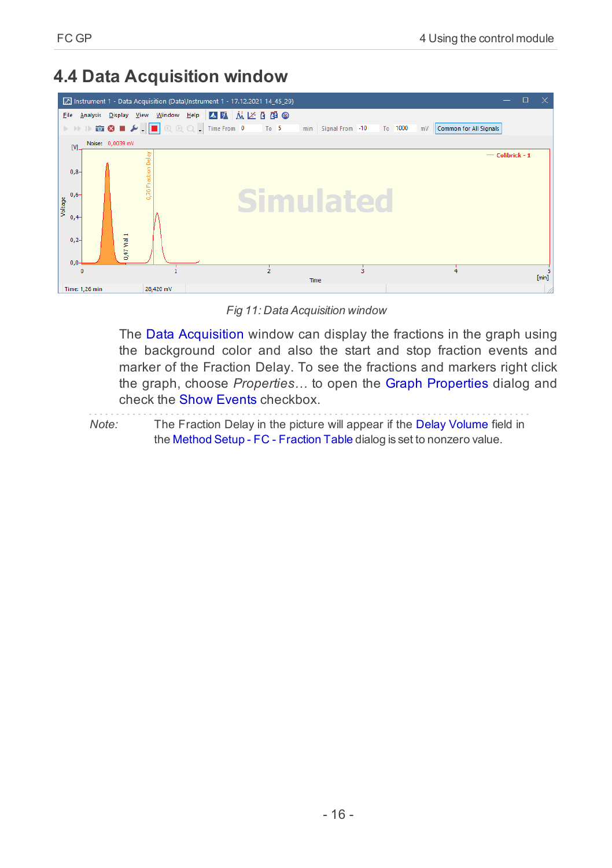# <span id="page-19-0"></span>**4.4 Data Acquisition window**

|                   |                 | Instrument 1 - Data Acquisition (Data\Instrument 1 - 17.12.2021 14 45 29)                                                                                                                                                                                                                                                                               |                     |  |      |      |                     |   |         |    |                               |                   | $\Box$ | $\mathsf{X}$ |
|-------------------|-----------------|---------------------------------------------------------------------------------------------------------------------------------------------------------------------------------------------------------------------------------------------------------------------------------------------------------------------------------------------------------|---------------------|--|------|------|---------------------|---|---------|----|-------------------------------|-------------------|--------|--------------|
| Eile              | <b>Analysis</b> | Display View Window Help A 国 应 区 面 @                                                                                                                                                                                                                                                                                                                    |                     |  |      |      |                     |   |         |    |                               |                   |        |              |
|                   |                 | $\triangleright \ \ \triangleright \ \ \triangleright \ \ \triangleright \ \ \widehat{\blacksquare} \ \ \textcircled{\blacksquare} \ \ \blacktriangleright \ \ \blacksquare \ \ \textcircled{\verb!}} \ \ \textcircled{\blacksquare} \ \ \textcircled{\verb!}} \ \ \textcircled{\blacksquare} \ \ \textcircled{\verb!}} \ \ \textcircled{\blacksquare}$ |                     |  | To 5 |      | min Signal From -10 |   | To 1000 | mV | <b>Common for All Signals</b> |                   |        |              |
| M.                |                 | Noise: 0,0039 mV                                                                                                                                                                                                                                                                                                                                        |                     |  |      |      |                     |   |         |    |                               |                   |        |              |
|                   |                 |                                                                                                                                                                                                                                                                                                                                                         |                     |  |      |      |                     |   |         |    |                               | $-$ Colibrick - 1 |        |              |
| $0,8-$            |                 |                                                                                                                                                                                                                                                                                                                                                         | 0,76 Fraction Delay |  |      |      |                     |   |         |    |                               |                   |        |              |
|                   |                 |                                                                                                                                                                                                                                                                                                                                                         |                     |  |      |      |                     |   |         |    |                               |                   |        |              |
| $0,6-$<br>Voltage |                 |                                                                                                                                                                                                                                                                                                                                                         |                     |  |      |      |                     |   |         |    |                               |                   |        |              |
| $0,4-$            |                 |                                                                                                                                                                                                                                                                                                                                                         |                     |  |      |      |                     |   |         |    |                               |                   |        |              |
|                   |                 |                                                                                                                                                                                                                                                                                                                                                         |                     |  |      |      |                     |   |         |    |                               |                   |        |              |
| $0,2-$            |                 | 0,47 Vial 1                                                                                                                                                                                                                                                                                                                                             |                     |  |      |      |                     |   |         |    |                               |                   |        |              |
| $0,0-$            |                 |                                                                                                                                                                                                                                                                                                                                                         |                     |  |      |      |                     |   |         |    |                               |                   |        |              |
|                   | $\Omega$        |                                                                                                                                                                                                                                                                                                                                                         |                     |  |      |      |                     | Ŕ |         |    |                               |                   |        | [min]        |
|                   | Time: 1,26 min  |                                                                                                                                                                                                                                                                                                                                                         | 28,420 mV           |  |      | Time |                     |   |         |    |                               |                   |        |              |

*Fig 11: Data Acquisition window*

The Data Acquisition window can display the fractions in the graph using the background color and also the start and stop fraction events and marker of the Fraction Delay. To see the fractions and markers right click the graph, choose *Properties…* to open the Graph Properties dialog and check the Show Events checkbox.

*Note:* The Fraction Delay in the picture will appear if the Delay Volume field in the Method Setup - FC - [Fraction](#page-14-0) Table dialog is set to nonzero value.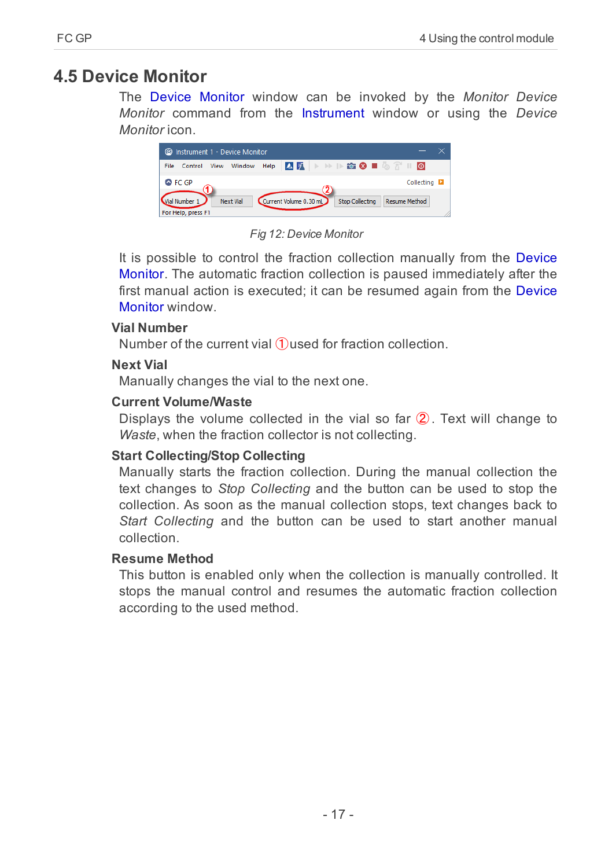# <span id="page-20-0"></span>**4.5 Device Monitor**

The Device Monitor window can be invoked by the *Monitor Device Monitor* command from the Instrument window or using the *Device Monitor* icon.



*Fig 12: Device Monitor*

It is possible to control the fraction collection manually from the Device Monitor. The automatic fraction collection is paused immediately after the first manual action is executed; it can be resumed again from the Device Monitor window.

#### **Vial Number**

Number of the current vial  $(1)$ used for fraction collection.

#### **Next Vial**

Manually changes the vial to the next one.

#### **Current Volume/Waste**

Displays the volume collected in the vial so far ② . Text will change to *Waste*, when the fraction collector is not collecting.

#### **Start Collecting/Stop Collecting**

Manually starts the fraction collection. During the manual collection the text changes to *Stop Collecting* and the button can be used to stop the collection. As soon as the manual collection stops, text changes back to *Start Collecting* and the button can be used to start another manual collection.

#### **Resume Method**

This button is enabled only when the collection is manually controlled. It stops the manual control and resumes the automatic fraction collection according to the used method.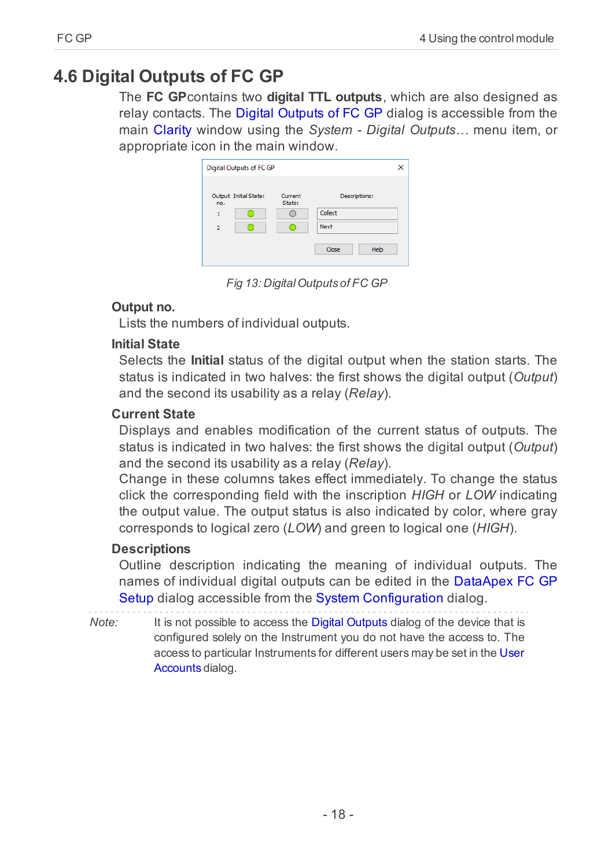# <span id="page-21-0"></span>**4.6 Digital Outputs of FC GP**

The **FC GP**contains two **digital TTL outputs**, which are also designed as relay contacts. The Digital Outputs of FC GP dialog is accessible from the main [Clarity](ms-its:Clarity.chm::/Help/010-clarity/010.000-clarity/010-clarity.htm) window using the *System - Digital Outputs…* menu item, or appropriate icon in the main window.

| <b>Digital Outputs of FC GP</b> |                   |               |
|---------------------------------|-------------------|---------------|
| Output Initial State:<br>no.    | Current<br>State: | Descriptions: |
| 1                               |                   | Collect       |
| <sup>2</sup>                    |                   | Next          |
|                                 |                   | Close<br>Help |

*Fig 13: DigitalOutputs of FC GP*

#### **Output no.**

Lists the numbers of individual outputs.

### **Initial State**

Selects the **Initial** status of the digital output when the station starts. The status is indicated in two halves: the first shows the digital output (*Output*) and the second its usability as a relay (*Relay*).

## **Current State**

Displays and enables modification of the current status of outputs. The status is indicated in two halves: the first shows the digital output (*Output*) and the second its usability as a relay (*Relay*).

Change in these columns takes effect immediately. To change the status click the corresponding field with the inscription *HIGH* or *LOW* indicating the output value. The output status is also indicated by color, where gray corresponds to logical zero (*LOW*) and green to logical one (*HIGH*).

## **Descriptions**

Outline description indicating the meaning of individual outputs. The names of individual digital outputs can be edited in the [DataApex](#page-12-0) FC GP [Setup](#page-12-0) dialog accessible from the System [Configuration](ms-its:Clarity.chm::/Help/010-clarity/010.010-system/010.010-configuration.htm) dialog.

*Note:* It is not possible to access the Digital Outputs dialog of the device that is configured solely on the Instrument you do not have the access to. The access to particular Instruments for different users may be set in the [User](ms-its:Clarity.chm::/Help/010-clarity/010.010-system/010.010-user-accounts.htm) [Accounts](ms-its:Clarity.chm::/Help/010-clarity/010.010-system/010.010-user-accounts.htm) dialog.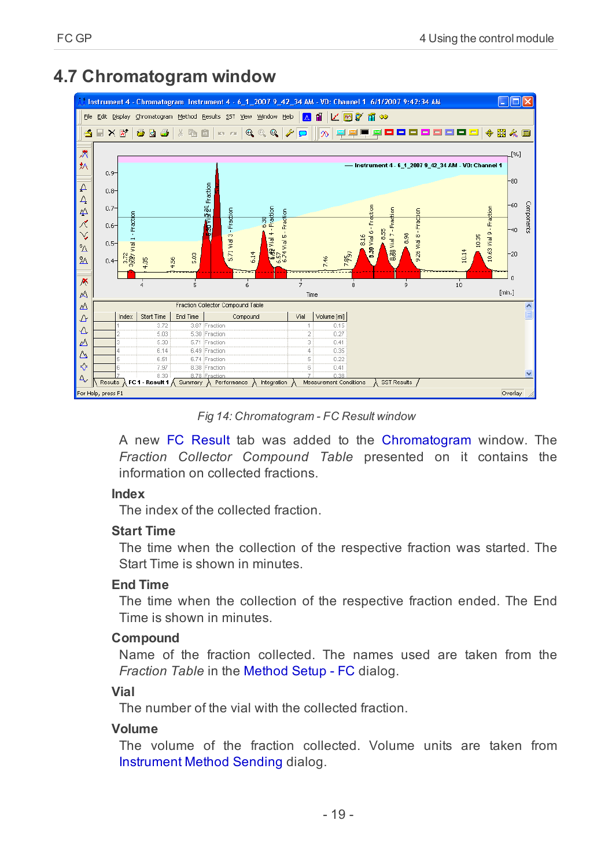# <span id="page-22-0"></span>**4.7 Chromatogram window**



*Fig 14: Chromatogram - FC Result window*

A new FC Result tab was added to the Chromatogram window. The *Fraction Collector Compound Table* presented on it contains the information on collected fractions.

#### **Index**

The index of the collected fraction.

## **Start Time**

The time when the collection of the respective fraction was started. The Start Time is shown in minutes.

## **End Time**

The time when the collection of the respective fraction ended. The End Time is shown in minutes.

## **Compound**

Name of the fraction collected. The names used are taken from the *Fraction Table* in the Method Setup - FC dialog.

## **Vial**

The number of the vial with the collected fraction.

## **Volume**

The volume of the fraction collected. Volume units are taken from Instrument Method Sending dialog.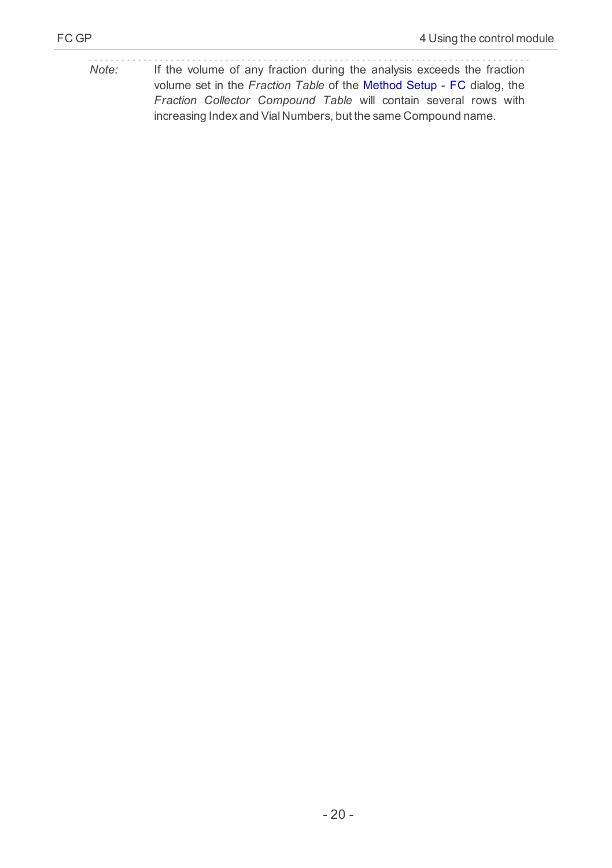*Note:* If the volume of any fraction during the analysis exceeds the fraction volume set in the *Fraction Table* of the Method Setup - FC dialog, the *Fraction Collector Compound Table* will contain several rows with increasing Index and Vial Numbers, but the same Compound name.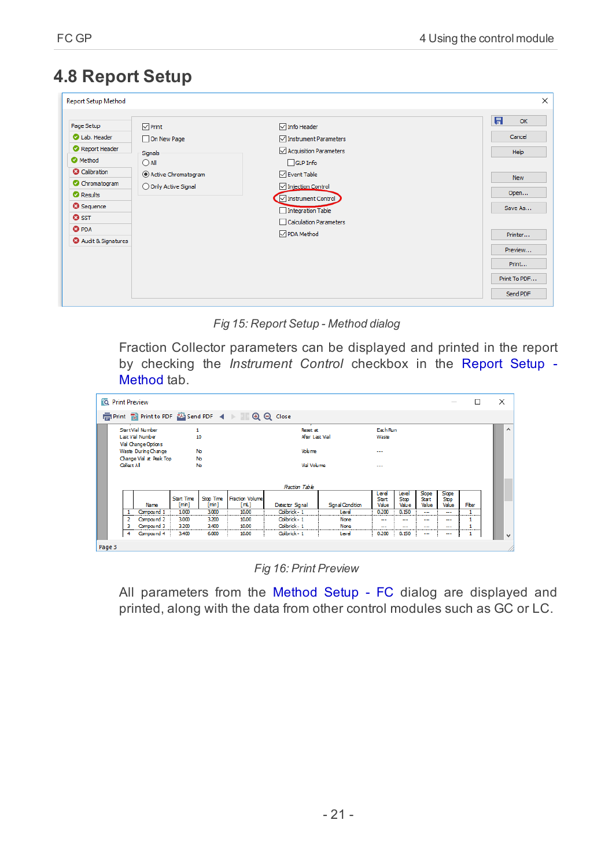# <span id="page-24-0"></span>**4.8 Report Setup**

| <b>Report Setup Method</b>                                                                                                                                                                    |                                                                                                           |                                                                                                                                                                                                                                        | $\times$                                                                                                              |
|-----------------------------------------------------------------------------------------------------------------------------------------------------------------------------------------------|-----------------------------------------------------------------------------------------------------------|----------------------------------------------------------------------------------------------------------------------------------------------------------------------------------------------------------------------------------------|-----------------------------------------------------------------------------------------------------------------------|
| Page Setup<br>Lab. Header<br>Report Header<br>Method<br><b>O</b> Calibration<br>C Chromatogram<br><b>O</b> Results<br><b>O</b> Sequence<br><b>O</b> SST<br><b>O</b> PDA<br>Audit & Signatures | $\nabla$ Print<br>On New Page<br>Signals<br>$\bigcirc$ All<br>Active Chromatogram<br>O Only Active Signal | $\sqrt{\ }$ Info Header<br>Instrument Parameters<br>Acquisition Parameters<br>$\Box$ GLP Info<br><b>⊘</b> Event Table<br>Injection Control<br>Instrument Control<br>Integration Table<br>Calculation Parameters<br><b>⊘</b> PDA Method | 日<br>OK<br>Cancel<br>Help<br><b>New</b><br>Open<br>Save As<br>Printer<br>Preview<br>Print<br>Print To PDF<br>Send PDF |

*Fig 15: Report Setup - Method dialog*

Fraction Collector parameters can be displayed and printed in the report by checking the *Instrument Control* checkbox in the Report Setup - Method tab.

|        | <b>10</b> Print Preview                                                           |            |                            |                             |                                                   |                 |                        |                         |                               |                         | $\frac{1}{2} \left( \frac{1}{2} \right) \left( \frac{1}{2} \right) \left( \frac{1}{2} \right)$ | □                   | $\times$     |
|--------|-----------------------------------------------------------------------------------|------------|----------------------------|-----------------------------|---------------------------------------------------|-----------------|------------------------|-------------------------|-------------------------------|-------------------------|------------------------------------------------------------------------------------------------|---------------------|--------------|
|        |                                                                                   |            |                            |                             | 信 Print 國 Print to PDF A Send PDF 4 ▶ ■ ⊕ ⊖ Close |                 |                        |                         |                               |                         |                                                                                                |                     |              |
|        | <b>Start Vial Number</b><br>1<br>Last Vial Number<br>10                           |            |                            | Remet at<br>After Last Vial |                                                   |                 | Each Run<br>Waste      |                         |                               |                         |                                                                                                | $\hat{\phantom{a}}$ |              |
|        | Vial Change Options<br>Waste During Change<br>No<br>Change Vial at Peak Top<br>No |            |                            | Volume                      |                                                   |                 | $\cdots$               |                         |                               |                         |                                                                                                |                     |              |
|        | Collect All<br>No                                                                 |            |                            | <b>Vial Volume</b>          |                                                   |                 | $\cdots$               |                         |                               |                         |                                                                                                |                     |              |
|        |                                                                                   |            |                            | <b>Fraction Table</b>       |                                                   |                 |                        |                         |                               |                         |                                                                                                |                     |              |
|        |                                                                                   | Name       | <b>Start Time</b><br>[min] | Stop Time<br>[min]          | <b>Fraction Volume</b><br>[mL]                    | Detector Signal | <b>Sanal Condition</b> | Level<br>Start<br>Value | Level<br><b>Stop</b><br>Value | Slope<br>Start<br>Value | Slape<br>Stop<br>Value                                                                         | <b>Fiter</b>        |              |
|        |                                                                                   | Compound 1 | 1,000                      | 3,000                       | 10,00                                             | Colibrick - 1   | Leve                   | 0.200<br>               | 0.150<br>---------            | $\sim$<br>              | <br>---------                                                                                  |                     |              |
|        |                                                                                   | Compound 2 | 3,000                      | 3,700                       | 10.00                                             | Colbrick - 1    | None                   | --                      | --                            | --                      | ---                                                                                            |                     |              |
|        |                                                                                   | Compound 3 | 3,200                      | 3,400                       | 10.00                                             | Colibrick - 1   | Nane<br><br>           | <br>---------------     | <br>-----------               | 1,500<br>               | <br>-----------                                                                                |                     |              |
|        |                                                                                   | Compound 4 | 3,400                      | 6,000                       | 10.00                                             | Colibrick - 1   | Level                  | 0.200                   | 0.150                         | --                      | ---                                                                                            |                     | $\checkmark$ |
| Page 3 |                                                                                   |            |                            |                             |                                                   |                 |                        |                         |                               |                         |                                                                                                |                     |              |

*Fig 16: Print Preview*

All parameters from the Method Setup - FC dialog are displayed and printed, along with the data from other control modules such as GC or LC.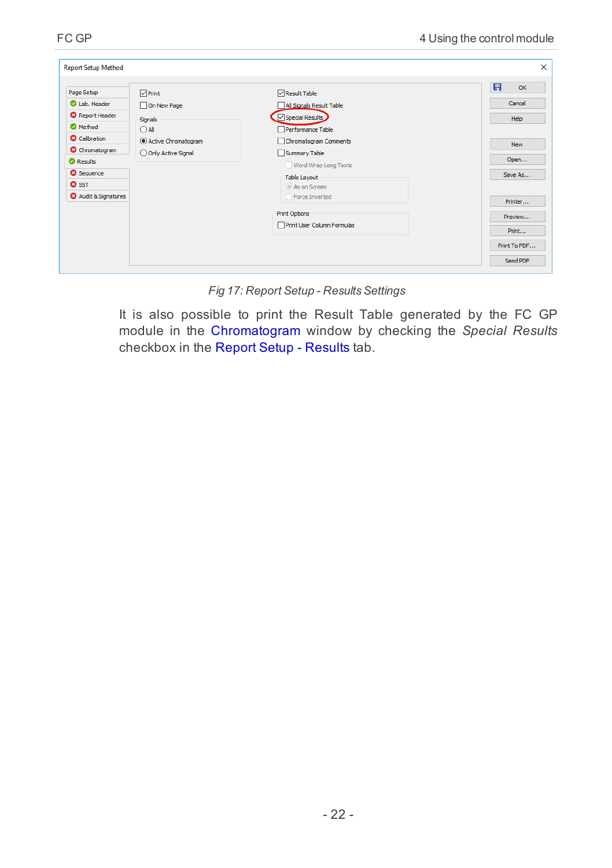| <b>Report Setup Method</b>                                                                                        |                                                                                   |                                                                                                           | $\times$                                     |
|-------------------------------------------------------------------------------------------------------------------|-----------------------------------------------------------------------------------|-----------------------------------------------------------------------------------------------------------|----------------------------------------------|
| Page Setup<br>Lab. Header<br><b>O</b> Report Header<br><b>O</b> Method<br><b>C</b> Calibration                    | $\nabla$ Print<br>On New Page<br>Signals<br>$\bigcirc$ All<br>Active Chromatogram | Result Table<br>All Signals Result Table<br>Special Results<br>Performance Table<br>Chromatogram Comments | 日<br>OK<br>Cancel<br>Help                    |
| <b>O</b> Chromatogram<br><b>O</b> Results<br><b>O</b> Sequence<br><b>Q</b> SST<br><sup>3</sup> Audit & Signatures | O Only Active Signal                                                              | Summary Table<br>Word Wrap Long Texts<br><b>Table Layout</b><br>As on Screen<br>○ Force Inverted          | <b>New</b><br>Open<br>Save As<br>Printer     |
|                                                                                                                   |                                                                                   | <b>Print Options</b><br>Print User Column Formulas                                                        | Preview<br>Print<br>Print To PDF<br>Send PDF |

*Fig 17: Report Setup - ResultsSettings*

It is also possible to print the Result Table generated by the FC GP module in the Chromatogram window by checking the *Special Results* checkbox in the Report Setup - Results tab.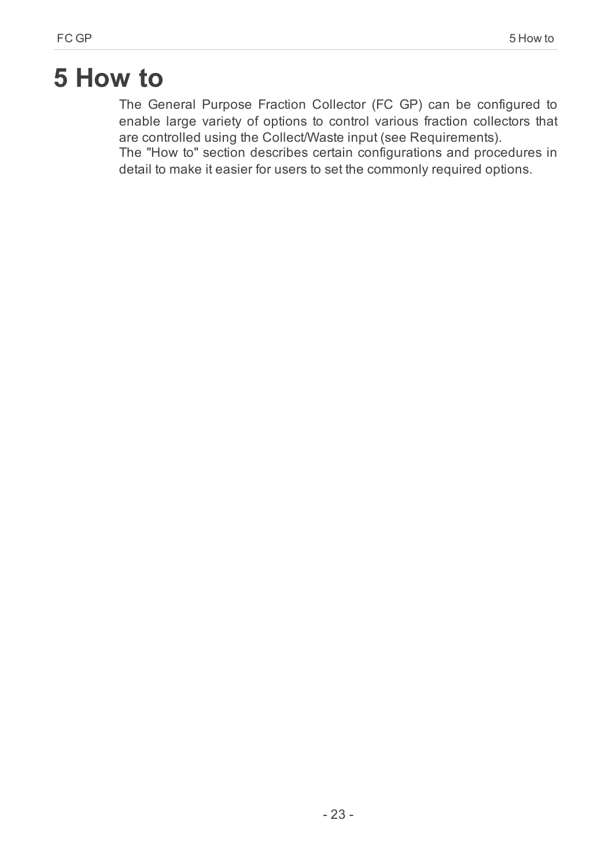# <span id="page-26-0"></span>**5 How to**

The General Purpose Fraction Collector (FC GP) can be configured to enable large variety of options to control various fraction collectors that are controlled using the Collect/Waste input (see Requirements).

The "How to" section describes certain configurations and procedures in detail to make it easier for users to set the commonly required options.